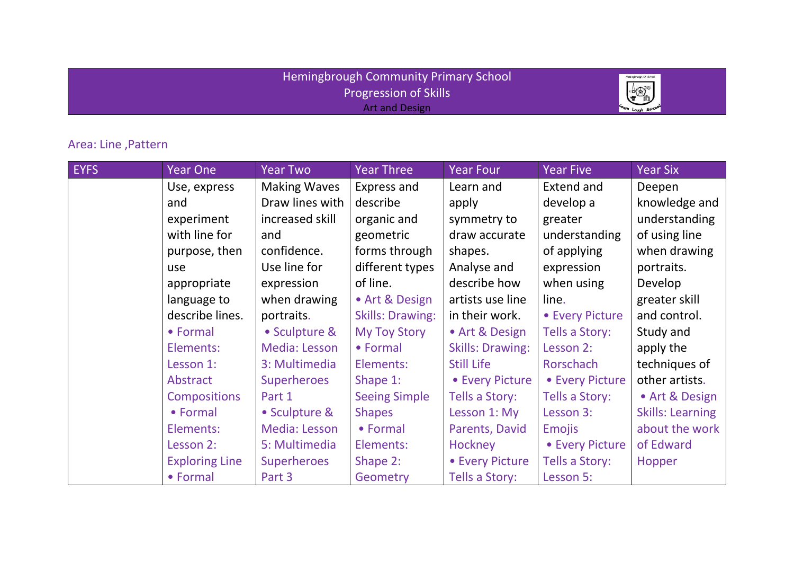## Hemingbrough Community Primary School Progression of Skills Art and Design



## Area: Line ,Pattern

| <b>EYFS</b> | <b>Year One</b>       | <b>Year Two</b>     | Year Three              | <b>Year Four</b>        | <b>Year Five</b>  | <b>Year Six</b>         |
|-------------|-----------------------|---------------------|-------------------------|-------------------------|-------------------|-------------------------|
|             | Use, express          | <b>Making Waves</b> | Express and             | Learn and               | <b>Extend and</b> | Deepen                  |
|             | and                   | Draw lines with     | describe                | apply                   | develop a         | knowledge and           |
|             | experiment            | increased skill     | organic and             | symmetry to             | greater           | understanding           |
|             | with line for         | and                 | geometric               | draw accurate           | understanding     | of using line           |
|             | purpose, then         | confidence.         | forms through           | shapes.                 | of applying       | when drawing            |
|             | use                   | Use line for        | different types         | Analyse and             | expression        | portraits.              |
|             | appropriate           | expression          | of line.                | describe how            | when using        | Develop                 |
|             | language to           | when drawing        | • Art & Design          | artists use line        | line.             | greater skill           |
|             | describe lines.       | portraits.          | <b>Skills: Drawing:</b> | in their work.          | • Every Picture   | and control.            |
|             | • Formal              | • Sculpture &       | <b>My Toy Story</b>     | • Art & Design          | Tells a Story:    | Study and               |
|             | Elements:             | Media: Lesson       | • Formal                | <b>Skills: Drawing:</b> | Lesson 2:         | apply the               |
|             | Lesson 1:             | 3: Multimedia       | Elements:               | <b>Still Life</b>       | Rorschach         | techniques of           |
|             | Abstract              | <b>Superheroes</b>  | Shape 1:                | • Every Picture         | • Every Picture   | other artists.          |
|             | <b>Compositions</b>   | Part 1              | <b>Seeing Simple</b>    | Tells a Story:          | Tells a Story:    | • Art & Design          |
|             | • Formal              | • Sculpture &       | <b>Shapes</b>           | Lesson 1: My            | Lesson 3:         | <b>Skills: Learning</b> |
|             | Elements:             | Media: Lesson       | • Formal                | Parents, David          | <b>Emojis</b>     | about the work          |
|             | Lesson 2:             | 5: Multimedia       | Elements:               | Hockney                 | • Every Picture   | of Edward               |
|             | <b>Exploring Line</b> | <b>Superheroes</b>  | Shape 2:                | • Every Picture         | Tells a Story:    | Hopper                  |
|             | • Formal              | Part 3              | Geometry                | Tells a Story:          | Lesson 5:         |                         |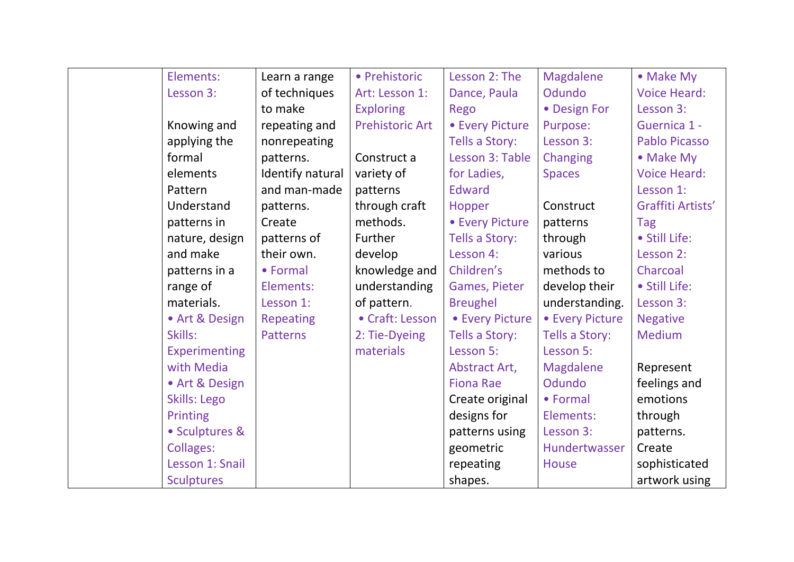| Elements:            | Learn a range    | • Prehistoric          | Lesson 2: The        | Magdalene       | • Make My            |
|----------------------|------------------|------------------------|----------------------|-----------------|----------------------|
| Lesson 3:            | of techniques    | Art: Lesson 1:         | Dance, Paula         | Odundo          | <b>Voice Heard:</b>  |
|                      | to make          | <b>Exploring</b>       | Rego                 | • Design For    | Lesson 3:            |
| Knowing and          | repeating and    | <b>Prehistoric Art</b> | • Every Picture      | Purpose:        | Guernica 1 -         |
| applying the         | nonrepeating     |                        | Tells a Story:       | Lesson 3:       | <b>Pablo Picasso</b> |
| formal               | patterns.        | Construct a            | Lesson 3: Table      | Changing        | • Make My            |
| elements             | Identify natural | variety of             | for Ladies,          | <b>Spaces</b>   | <b>Voice Heard:</b>  |
| Pattern              | and man-made     | patterns               | <b>Edward</b>        |                 | Lesson 1:            |
| Understand           | patterns.        | through craft          | Hopper               | Construct       | Graffiti Artists'    |
| patterns in          | Create           | methods.               | • Every Picture      | patterns        | <b>Tag</b>           |
| nature, design       | patterns of      | Further                | Tells a Story:       | through         | · Still Life:        |
| and make             | their own.       | develop                | Lesson 4:            | various         | Lesson 2:            |
| patterns in a        | • Formal         | knowledge and          | Children's           | methods to      | Charcoal             |
| range of             | Elements:        | understanding          | <b>Games, Pieter</b> | develop their   | · Still Life:        |
| materials.           | Lesson 1:        | of pattern.            | <b>Breughel</b>      | understanding.  | Lesson 3:            |
| • Art & Design       | Repeating        | • Craft: Lesson        | • Every Picture      | • Every Picture | <b>Negative</b>      |
| Skills:              | <b>Patterns</b>  | 2: Tie-Dyeing          | Tells a Story:       | Tells a Story:  | <b>Medium</b>        |
| <b>Experimenting</b> |                  | materials              | Lesson 5:            | Lesson 5:       |                      |
| with Media           |                  |                        | Abstract Art,        | Magdalene       | Represent            |
| • Art & Design       |                  |                        | <b>Fiona Rae</b>     | Odundo          | feelings and         |
| <b>Skills: Lego</b>  |                  |                        | Create original      | • Formal        | emotions             |
| <b>Printing</b>      |                  |                        | designs for          | Elements:       | through              |
| • Sculptures &       |                  |                        | patterns using       | Lesson 3:       | patterns.            |
| <b>Collages:</b>     |                  |                        | geometric            | Hundertwasser   | Create               |
| Lesson 1: Snail      |                  |                        | repeating            | House           | sophisticated        |
| <b>Sculptures</b>    |                  |                        | shapes.              |                 | artwork using        |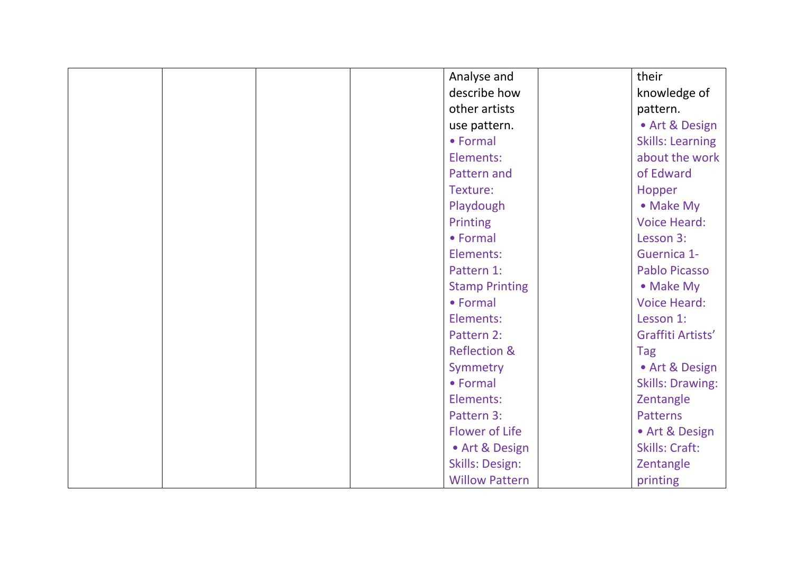| Analyse and             | their                   |
|-------------------------|-------------------------|
| describe how            | knowledge of            |
| other artists           | pattern.                |
| use pattern.            | • Art & Design          |
| • Formal                | <b>Skills: Learning</b> |
| Elements:               | about the work          |
| Pattern and             | of Edward               |
| Texture:                | Hopper                  |
| Playdough               | • Make My               |
| Printing                | <b>Voice Heard:</b>     |
| • Formal                | Lesson 3:               |
| Elements:               | Guernica 1-             |
| Pattern 1:              | <b>Pablo Picasso</b>    |
| <b>Stamp Printing</b>   | • Make My               |
| • Formal                | <b>Voice Heard:</b>     |
| Elements:               | Lesson 1:               |
| Pattern 2:              | Graffiti Artists'       |
| <b>Reflection &amp;</b> | <b>Tag</b>              |
| Symmetry                | • Art & Design          |
| • Formal                | <b>Skills: Drawing:</b> |
| Elements:               | Zentangle               |
| Pattern 3:              | <b>Patterns</b>         |
| <b>Flower of Life</b>   | • Art & Design          |
| • Art & Design          | <b>Skills: Craft:</b>   |
| <b>Skills: Design:</b>  | Zentangle               |
| <b>Willow Pattern</b>   | printing                |